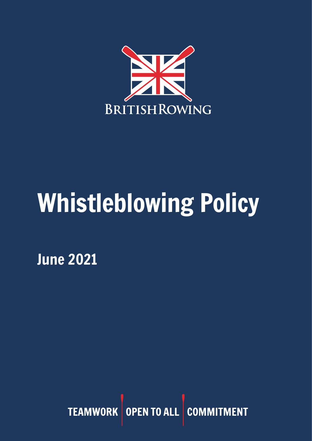

# Whistleblowing Policy

June 2021

TEAMWORK OPEN TO ALL COMMITMENT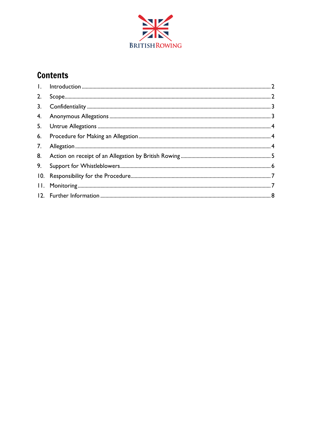

# **Contents**

| 2. |  |
|----|--|
| 3. |  |
|    |  |
|    |  |
|    |  |
| 7. |  |
|    |  |
|    |  |
|    |  |
|    |  |
|    |  |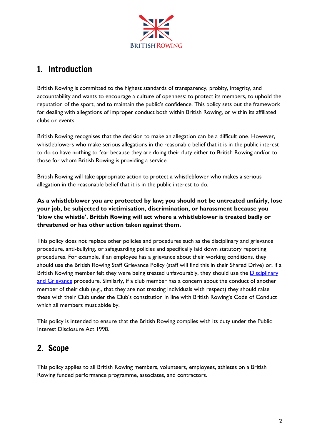

## <span id="page-2-0"></span>1. Introduction

British Rowing is committed to the highest standards of transparency, probity, integrity, and accountability and wants to encourage a culture of openness: to protect its members, to uphold the reputation of the sport, and to maintain the public's confidence. This policy sets out the framework for dealing with allegations of improper conduct both within British Rowing, or within its affiliated clubs or events.

British Rowing recognises that the decision to make an allegation can be a difficult one. However, whistleblowers who make serious allegations in the reasonable belief that it is in the public interest to do so have nothing to fear because they are doing their duty either to British Rowing and/or to those for whom British Rowing is providing a service.

British Rowing will take appropriate action to protect a whistleblower who makes a serious allegation in the reasonable belief that it is in the public interest to do.

**As a whistleblower you are protected by law; you should not be untreated unfairly, lose your job, be subjected to victimisation, discrimination, or harassment because you 'blow the whistle'. British Rowing will act where a whistleblower is treated badly or threatened or has other action taken against them.**

This policy does not replace other policies and procedures such as the disciplinary and grievance procedure, anti-bullying, or safeguarding policies and specifically laid down statutory reporting procedures. For example, if an employee has a grievance about their working conditions, they should use the British Rowing Staff Grievance Policy (staff will find this in their Shared Drive) or, if a British Rowing member felt they were being treated unfavourably, they should use the Disciplinary [and Grievance](https://www.britishrowing.org/about-us/policies-guidance/disciplinary-and-grievance-procedures/) procedure. Similarly, if a club member has a concern about the conduct of another member of their club (e.g., that they are not treating individuals with respect) they should raise these with their Club under the Club's constitution in line with British Rowing's Code of Conduct which all members must abide by.

This policy is intended to ensure that the British Rowing complies with its duty under the Public Interest Disclosure Act 1998.

## <span id="page-2-1"></span>2. Scope

This policy applies to all British Rowing members, volunteers, employees, athletes on a British Rowing funded performance programme, associates, and contractors.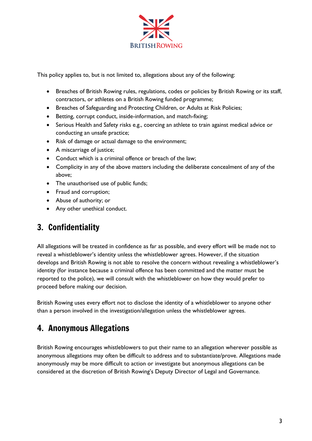

This policy applies to, but is not limited to, allegations about any of the following:

- Breaches of British Rowing rules, regulations, codes or policies by British Rowing or its staff, contractors, or athletes on a British Rowing funded programme;
- Breaches of Safeguarding and Protecting Children, or Adults at Risk Policies;
- Betting, corrupt conduct, inside-information, and match-fixing;
- Serious Health and Safety risks e.g., coercing an athlete to train against medical advice or conducting an unsafe practice;
- Risk of damage or actual damage to the environment;
- A miscarriage of justice;
- Conduct which is a criminal offence or breach of the law;
- Complicity in any of the above matters including the deliberate concealment of any of the above;
- The unauthorised use of public funds;
- Fraud and corruption;
- Abuse of authority; or
- Any other unethical conduct.

## <span id="page-3-0"></span>3. Confidentiality

All allegations will be treated in confidence as far as possible, and every effort will be made not to reveal a whistleblower's identity unless the whistleblower agrees. However, if the situation develops and British Rowing is not able to resolve the concern without revealing a whistleblower's identity (for instance because a criminal offence has been committed and the matter must be reported to the police), we will consult with the whistleblower on how they would prefer to proceed before making our decision.

British Rowing uses every effort not to disclose the identity of a whistleblower to anyone other than a person involved in the investigation/allegation unless the whistleblower agrees.

## <span id="page-3-1"></span>4. Anonymous Allegations

British Rowing encourages whistleblowers to put their name to an allegation wherever possible as anonymous allegations may often be difficult to address and to substantiate/prove. Allegations made anonymously may be more difficult to action or investigate but anonymous allegations can be considered at the discretion of British Rowing's Deputy Director of Legal and Governance.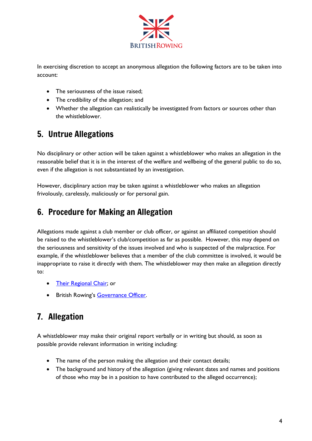

In exercising discretion to accept an anonymous allegation the following factors are to be taken into account:

- The seriousness of the issue raised;
- The credibility of the allegation; and
- Whether the allegation can realistically be investigated from factors or sources other than the whistleblower.

# <span id="page-4-0"></span>5. Untrue Allegations

No disciplinary or other action will be taken against a whistleblower who makes an allegation in the reasonable belief that it is in the interest of the welfare and wellbeing of the general public to do so, even if the allegation is not substantiated by an investigation.

However, disciplinary action may be taken against a whistleblower who makes an allegation frivolously, carelessly, maliciously or for personal gain.

## <span id="page-4-1"></span>6. Procedure for Making an Allegation

Allegations made against a club member or club officer, or against an affiliated competition should be raised to the whistleblower's club/competition as far as possible. However, this may depend on the seriousness and sensitivity of the issues involved and who is suspected of the malpractice. For example, if the whistleblower believes that a member of the club committee is involved, it would be inappropriate to raise it directly with them. The whistleblower may then make an allegation directly to:

- Their [Regional Chair;](https://www.britishrowing.org/knowledge/club-support/regional-directory/) or
- British Rowing's [Governance Officer.](mailto:governance@britishrowing.org)

# <span id="page-4-2"></span>7. Allegation

A whistleblower may make their original report verbally or in writing but should, as soon as possible provide relevant information in writing including:

- The name of the person making the allegation and their contact details;
- The background and history of the allegation (giving relevant dates and names and positions of those who may be in a position to have contributed to the alleged occurrence);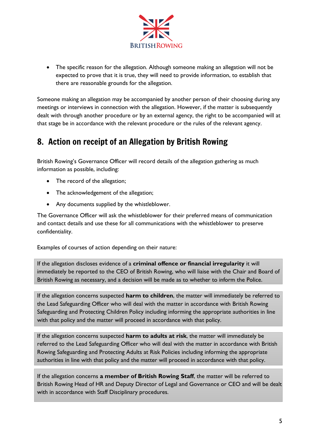

• The specific reason for the allegation. Although someone making an allegation will not be expected to prove that it is true, they will need to provide information, to establish that there are reasonable grounds for the allegation.

Someone making an allegation may be accompanied by another person of their choosing during any meetings or interviews in connection with the allegation. However, if the matter is subsequently dealt with through another procedure or by an external agency, the right to be accompanied will at that stage be in accordance with the relevant procedure or the rules of the relevant agency.

#### <span id="page-5-0"></span>8. Action on receipt of an Allegation by British Rowing

British Rowing's Governance Officer will record details of the allegation gathering as much information as possible, including:

- The record of the allegation;
- The acknowledgement of the allegation;
- Any documents supplied by the whistleblower.

The Governance Officer will ask the whistleblower for their preferred means of communication and contact details and use these for all communications with the whistleblower to preserve confidentiality.

Examples of courses of action depending on their nature:

If the allegation discloses evidence of a **criminal offence or financial irregularity** it will immediately be reported to the CEO of British Rowing, who will liaise with the Chair and Board of British Rowing as necessary, and a decision will be made as to whether to inform the Police.

If the allegation concerns suspected **harm to children**, the matter will immediately be referred to the Lead Safeguarding Officer who will deal with the matter in accordance with British Rowing Safeguarding and Protecting Children Policy including informing the appropriate authorities in line with that policy and the matter will proceed in accordance with that policy.

If the allegation concerns suspected **harm to adults at risk**, the matter will immediately be referred to the Lead Safeguarding Officer who will deal with the matter in accordance with British Rowing Safeguarding and Protecting Adults at Risk Policies including informing the appropriate authorities in line with that policy and the matter will proceed in accordance with that policy.

If the allegation concerns **a member of British Rowing Staff**, the matter will be referred to British Rowing Head of HR and Deputy Director of Legal and Governance or CEO and will be dealt with in accordance with Staff Disciplinary procedures.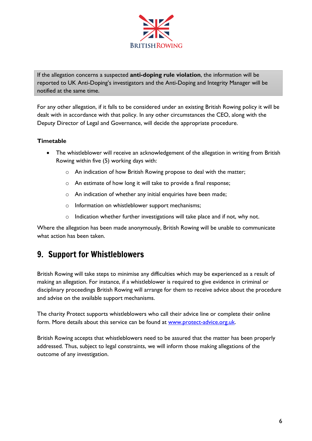

If the allegation concerns a suspected **anti-doping rule violation**, the information will be reported to UK Anti-Doping's investigators and the Anti-Doping and Integrity Manager will be notified at the same time.

For any other allegation, if it falls to be considered under an existing British Rowing policy it will be dealt with in accordance with that policy. In any other circumstances the CEO, along with the Deputy Director of Legal and Governance, will decide the appropriate procedure.

#### **Timetable**

- The whistleblower will receive an acknowledgement of the allegation in writing from British Rowing within five (5) working days with:
	- o An indication of how British Rowing propose to deal with the matter;
	- o An estimate of how long it will take to provide a final response;
	- o An indication of whether any initial enquiries have been made;
	- o Information on whistleblower support mechanisms;
	- o Indication whether further investigations will take place and if not, why not.

Where the allegation has been made anonymously, British Rowing will be unable to communicate what action has been taken.

# <span id="page-6-0"></span>9. Support for Whistleblowers

British Rowing will take steps to minimise any difficulties which may be experienced as a result of making an allegation. For instance, if a whistleblower is required to give evidence in criminal or disciplinary proceedings British Rowing will arrange for them to receive advice about the procedure and advise on the available support mechanisms.

The charity Protect supports whistleblowers who call their advice line or complete their online form. More details about this service can be found at [www.protect-advice.org.uk.](http://www.protect-advice.org.uk/)

<span id="page-6-1"></span>British Rowing accepts that whistleblowers need to be assured that the matter has been properly addressed. Thus, subject to legal constraints, we will inform those making allegations of the outcome of any investigation.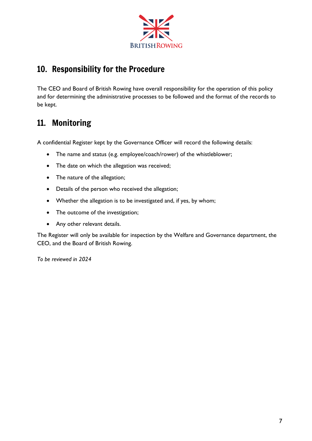

## 10. Responsibility for the Procedure

The CEO and Board of British Rowing have overall responsibility for the operation of this policy and for determining the administrative processes to be followed and the format of the records to be kept.

## <span id="page-7-0"></span>11. Monitoring

A confidential Register kept by the Governance Officer will record the following details:

- The name and status (e.g. employee/coach/rower) of the whistleblower;
- The date on which the allegation was received;
- The nature of the allegation;
- Details of the person who received the allegation;
- Whether the allegation is to be investigated and, if yes, by whom;
- The outcome of the investigation;
- Any other relevant details.

The Register will only be available for inspection by the Welfare and Governance department, the CEO, and the Board of British Rowing.

*To be reviewed in 2024*